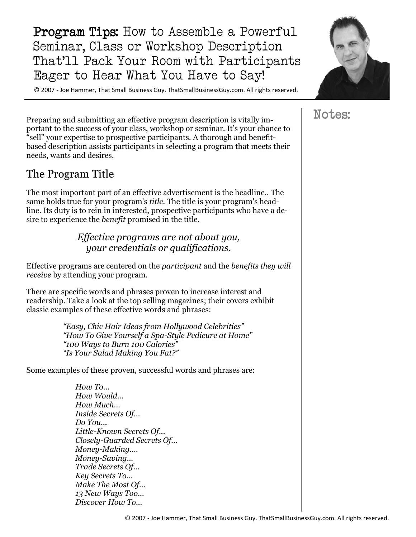Program Tips: How to Assemble a Powerful Seminar, Class or Workshop Description That'll Pack Your Room with Participants Eager to Hear What You Have to Say!

© 2007 - Joe Hammer, That Small Business Guy. ThatSmallBusinessGuy.com. All rights reserved.

Preparing and submitting an effective program description is vitally important to the success of your class, workshop or seminar. It's your chance to "sell" your expertise to prospective participants. A thorough and benefitbased description assists participants in selecting a program that meets their needs, wants and desires.

#### The Program Title

The most important part of an effective advertisement is the headline.. The same holds true for your program's *title*. The title is your program's headline. Its duty is to rein in interested, prospective participants who have a desire to experience the *benefit* promised in the title.

> *Effective programs are not about you, your credentials or qualifications.*

Effective programs are centered on the *participant* and the *benefits they will receive* by attending your program.

There are specific words and phrases proven to increase interest and readership. Take a look at the top selling magazines; their covers exhibit classic examples of these effective words and phrases:

> *"Easy, Chic Hair Ideas from Hollywood Celebrities" "How To Give Yourself a Spa-Style Pedicure at Home" "100 Ways to Burn 100 Calories" "Is Your Salad Making You Fat?"*

Some examples of these proven, successful words and phrases are:

*How To... How Would... How Much... Inside Secrets Of... Do You... Little-Known Secrets Of... Closely-Guarded Secrets Of... Money-Making.... Money-Saving... Trade Secrets Of... Key Secrets To... Make The Most Of… 13 New Ways Too... Discover How To...* 



# Notes: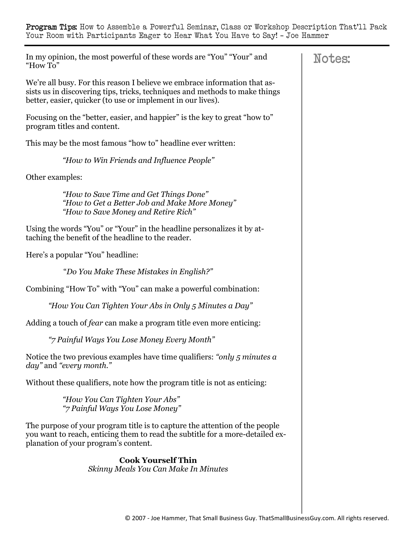In my opinion, the most powerful of these words are "You" "Your" and "How To"

We're all busy. For this reason I believe we embrace information that assists us in discovering tips, tricks, techniques and methods to make things better, easier, quicker (to use or implement in our lives).

Focusing on the "better, easier, and happier" is the key to great "how to" program titles and content.

This may be the most famous "how to" headline ever written:

*"How to Win Friends and Influence People"* 

Other examples:

*"How to Save Time and Get Things Done" "How to Get a Better Job and Make More Money" "How to Save Money and Retire Rich"* 

Using the words "You" or "Your" in the headline personalizes it by attaching the benefit of the headline to the reader.

Here's a popular "You" headline:

"*Do You Make These Mistakes in English?"* 

Combining "How To" with "You" can make a powerful combination:

 *"How You Can Tighten Your Abs in Only 5 Minutes a Day"* 

Adding a touch of *fear* can make a program title even more enticing:

 *"7 Painful Ways You Lose Money Every Month"* 

Notice the two previous examples have time qualifiers: *"only 5 minutes a day"* and *"every month."* 

Without these qualifiers, note how the program title is not as enticing:

*"How You Can Tighten Your Abs" "7 Painful Ways You Lose Money"* 

The purpose of your program title is to capture the attention of the people you want to reach, enticing them to read the subtitle for a more-detailed explanation of your program's content.

> **Cook Yourself Thin** *Skinny Meals You Can Make In Minutes*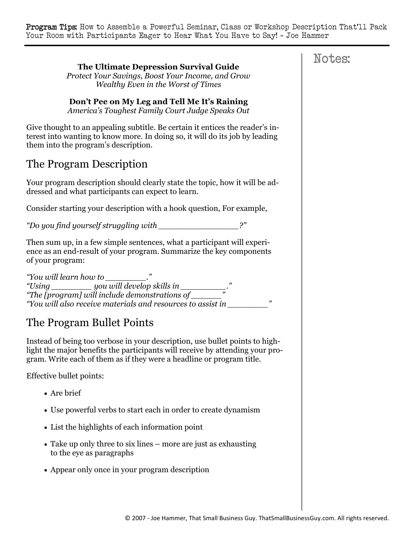**The Ultimate Depression Survival Guide**  *Protect Your Savings, Boost Your Income, and Grow Wealthy Even in the Worst of Times*  **Don't Pee on My Leg and Tell Me It's Raining**  *America's Toughest Family Court Judge Speaks Out*  Give thought to an appealing subtitle. Be certain it entices the reader's interest into wanting to know more. In doing so, it will do its job by leading them into the program's description. The Program Description Your program description should clearly state the topic, how it will be addressed and what participants can expect to learn. Consider starting your description with a hook question, For example, *"Do you find yourself struggling with \_\_\_\_\_\_\_\_\_\_\_\_\_\_\_\_?"*  Then sum up, in a few simple sentences, what a participant will experience as an end-result of your program. Summarize the key components of your program: *"You will learn how to \_\_\_\_\_\_\_\_." "Using \_\_\_\_\_\_\_\_ you will develop skills in \_\_\_\_\_\_\_\_\_." "The [program] will include demonstrations of \_\_\_\_\_\_" "You will also receive materials and resources to assist in \_\_\_\_\_\_\_\_"*  The Program Bullet Points Instead of being too verbose in your description, use bullet points to highlight the major benefits the participants will receive by attending your program. Write each of them as if they were a headline or program title. Effective bullet points: • Are brief Use powerful verbs to start each in order to create dynamism List the highlights of each information point Take up only three to six lines – more are just as exhausting to the eye as paragraphs Appear only once in your program description

## Notes: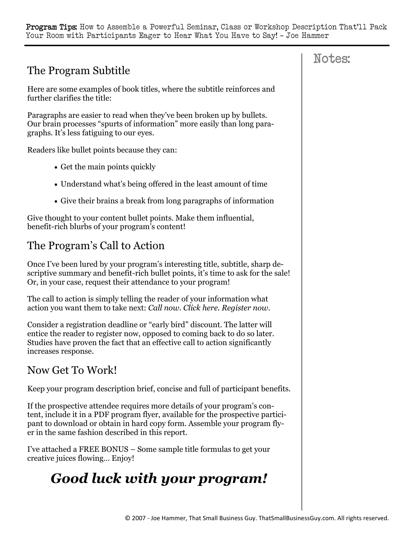# The Program Subtitle

Here are some examples of book titles, where the subtitle reinforces and further clarifies the title:

Paragraphs are easier to read when they've been broken up by bullets. Our brain processes "spurts of information" more easily than long paragraphs. It's less fatiguing to our eyes.

Readers like bullet points because they can:

- Get the main points quickly
- Understand what's being offered in the least amount of time
- Give their brains a break from long paragraphs of information

Give thought to your content bullet points. Make them influential, benefit-rich blurbs of your program's content!

## The Program's Call to Action

Once I've been lured by your program's interesting title, subtitle, sharp descriptive summary and benefit-rich bullet points, it's time to ask for the sale! Or, in your case, request their attendance to your program!

The call to action is simply telling the reader of your information what action you want them to take next: *Call now. Click here. Register now.* 

Consider a registration deadline or "early bird" discount. The latter will entice the reader to register now, opposed to coming back to do so later. Studies have proven the fact that an effective call to action significantly increases response.

#### Now Get To Work!

Keep your program description brief, concise and full of participant benefits.

If the prospective attendee requires more details of your program's content, include it in a PDF program flyer, available for the prospective participant to download or obtain in hard copy form. Assemble your program flyer in the same fashion described in this report.

I've attached a FREE BONUS – Some sample title formulas to get your creative juices flowing… Enjoy!

# *Good luck with your program!*

## Notes: